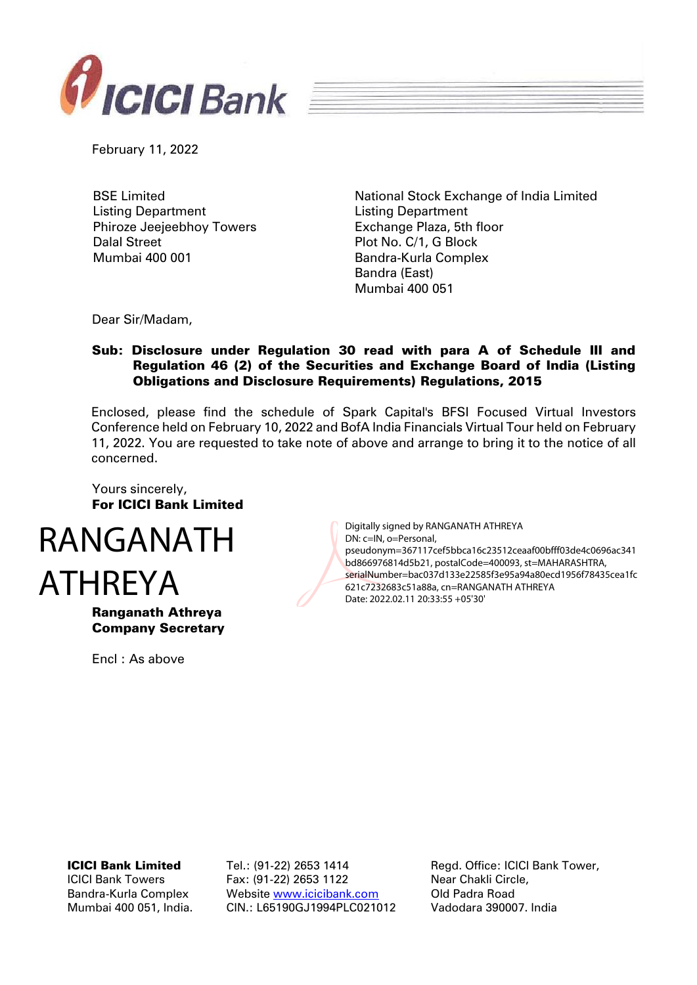

February 11, 2022

BSE Limited Listing Department Phiroze Jeejeebhoy Towers Dalal Street Mumbai 400 001

National Stock Exchange of India Limited Listing Department Exchange Plaza, 5th floor Plot No. C/1, G Block Bandra-Kurla Complex Bandra (East) Mumbai 400 051

Dear Sir/Madam,

## Sub: Disclosure under Regulation 30 read with para A of Schedule III and Regulation 46 (2) of the Securities and Exchange Board of India (Listing Obligations and Disclosure Requirements) Regulations, 2015

Enclosed, please find the schedule of Spark Capital's BFSI Focused Virtual Investors Conference held on February 10, 2022 and BofA India Financials Virtual Tour held on February 11, 2022. You are requested to take note of above and arrange to bring it to the notice of all concerned.

Yours sincerely, For ICICI Bank Limited



Ranganath Athreya Company Secretary

Encl : As above

Digitally signed by RANGANATH ATHREYA DN: c=IN, o=Personal, pseudonym=367117cef5bbca16c23512ceaaf00bfff03de4c0696ac341 bd866976814d5b21, postalCode=400093, st=MAHARASHTRA, serialNumber=bac037d133e22585f3e95a94a80ecd1956f78435cea1fc 621c7232683c51a88a, cn=RANGANATH ATHREYA Date: 2022.02.11 20:33:55 +05'30'

#### ICICI Bank Limited

ICICI Bank Towers Bandra-Kurla Complex Mumbai 400 051, India. Tel.: (91-22) 2653 1414 Fax: (91-22) 2653 1122 Website [www.icicibank.com](http://www.icicibank.com/) CIN.: L65190GJ1994PLC021012 Regd. Office: ICICI Bank Tower, Near Chakli Circle, Old Padra Road Vadodara 390007. India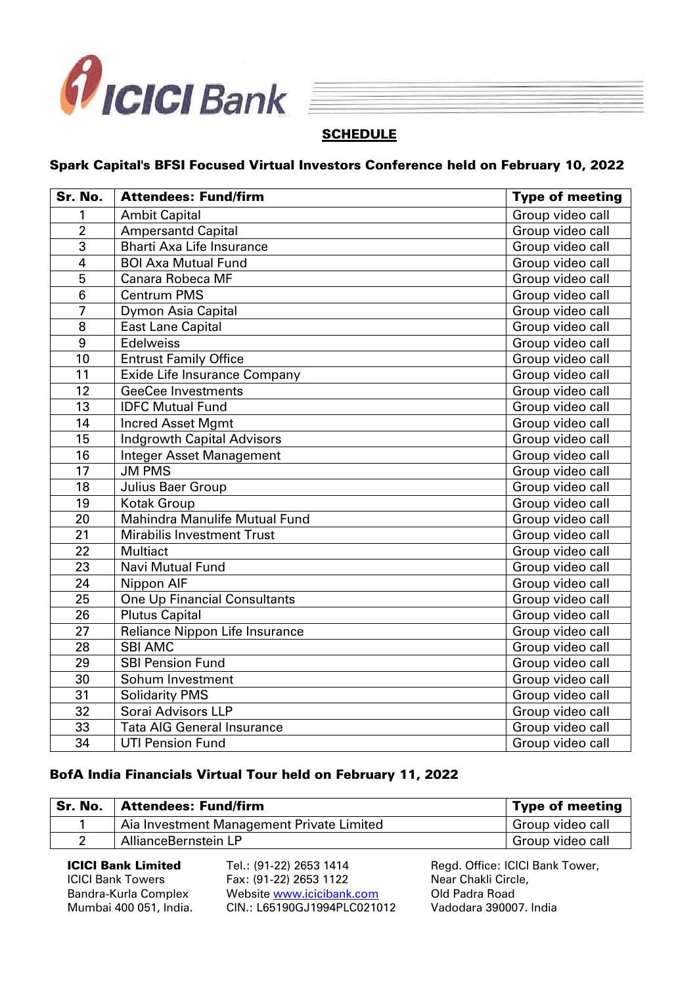



# **SCHEDULE**

## Spark Capital's BFSI Focused Virtual Investors Conference held on February 10, 2022

| Sr. No.         | <b>Attendees: Fund/firm</b>         | <b>Type of meeting</b> |
|-----------------|-------------------------------------|------------------------|
| 1               | <b>Ambit Capital</b>                | Group video call       |
| $\overline{2}$  | <b>Ampersantd Capital</b>           | Group video call       |
| $\overline{3}$  | <b>Bharti Axa Life Insurance</b>    | Group video call       |
| $\overline{4}$  | <b>BOI Axa Mutual Fund</b>          | Group video call       |
| $\overline{5}$  | <b>Canara Robeca MF</b>             | Group video call       |
| $\overline{6}$  | <b>Centrum PMS</b>                  | Group video call       |
| $\overline{7}$  | <b>Dymon Asia Capital</b>           | Group video call       |
| 8               | <b>East Lane Capital</b>            | Group video call       |
| 9               | <b>Edelweiss</b>                    | Group video call       |
| 10              | <b>Entrust Family Office</b>        | Group video call       |
| $\overline{11}$ | Exide Life Insurance Company        | Group video call       |
| 12              | <b>GeeCee Investments</b>           | Group video call       |
| $\overline{13}$ | <b>IDFC Mutual Fund</b>             | Group video call       |
| 14              | <b>Incred Asset Mgmt</b>            | Group video call       |
| $\overline{15}$ | <b>Indgrowth Capital Advisors</b>   | Group video call       |
| 16              | Integer Asset Management            | Group video call       |
| 17              | <b>JM PMS</b>                       | Group video call       |
| 18              | Julius Baer Group                   | Group video call       |
| 19              | <b>Kotak Group</b>                  | Group video call       |
| 20              | Mahindra Manulife Mutual Fund       | Group video call       |
| 21              | <b>Mirabilis Investment Trust</b>   | Group video call       |
| 22              | <b>Multiact</b>                     | Group video call       |
| 23              | <b>Navi Mutual Fund</b>             | Group video call       |
| 24              | Nippon AIF                          | Group video call       |
| 25              | <b>One Up Financial Consultants</b> | Group video call       |
| 26              | <b>Plutus Capital</b>               | Group video call       |
| 27              | Reliance Nippon Life Insurance      | Group video call       |
| 28              | <b>SBI AMC</b>                      | Group video call       |
| 29              | <b>SBI Pension Fund</b>             | Group video call       |
| 30              | Sohum Investment                    | Group video call       |
| $\overline{31}$ | <b>Solidarity PMS</b>               | Group video call       |
| 32              | Sorai Advisors LLP                  | Group video call       |
| 33              | <b>Tata AIG General Insurance</b>   | Group video call       |
| 34              | <b>UTI Pension Fund</b>             | Group video call       |

## BofA India Financials Virtual Tour held on February 11, 2022

| Sr. No. | <b>Attendees: Fund/firm</b>               | <b>Type of meeting</b> |
|---------|-------------------------------------------|------------------------|
|         | Aia Investment Management Private Limited | Group video call       |
|         | AllianceBernstein LP                      | Group video call       |

ICICI Bank Limited ICICI Bank Towers Bandra-Kurla Complex Mumbai 400 051, India. Tel.: (91-22) 2653 1414 Fax: (91-22) 2653 1122 Website [www.icicibank.com](http://www.icicibank.com/) CIN.: L65190GJ1994PLC021012 Regd. Office: ICICI Bank Tower, Near Chakli Circle, Old Padra Road Vadodara 390007. India